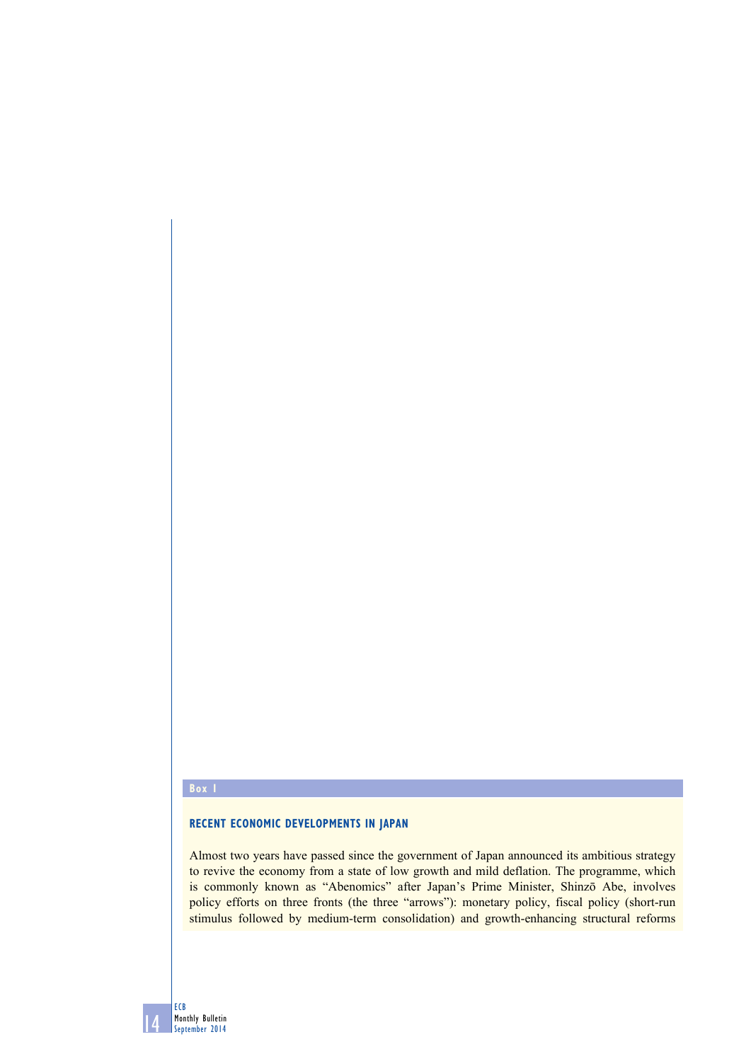#### **Box 1**

#### **recent economic developments in Japan**

Almost two years have passed since the government of Japan announced its ambitious strategy to revive the economy from a state of low growth and mild deflation. The programme, which is commonly known as "Abenomics" after Japan's Prime Minister, Shinzō Abe, involves policy efforts on three fronts (the three "arrows"): monetary policy, fiscal policy (short-run stimulus followed by medium-term consolidation) and growth-enhancing structural reforms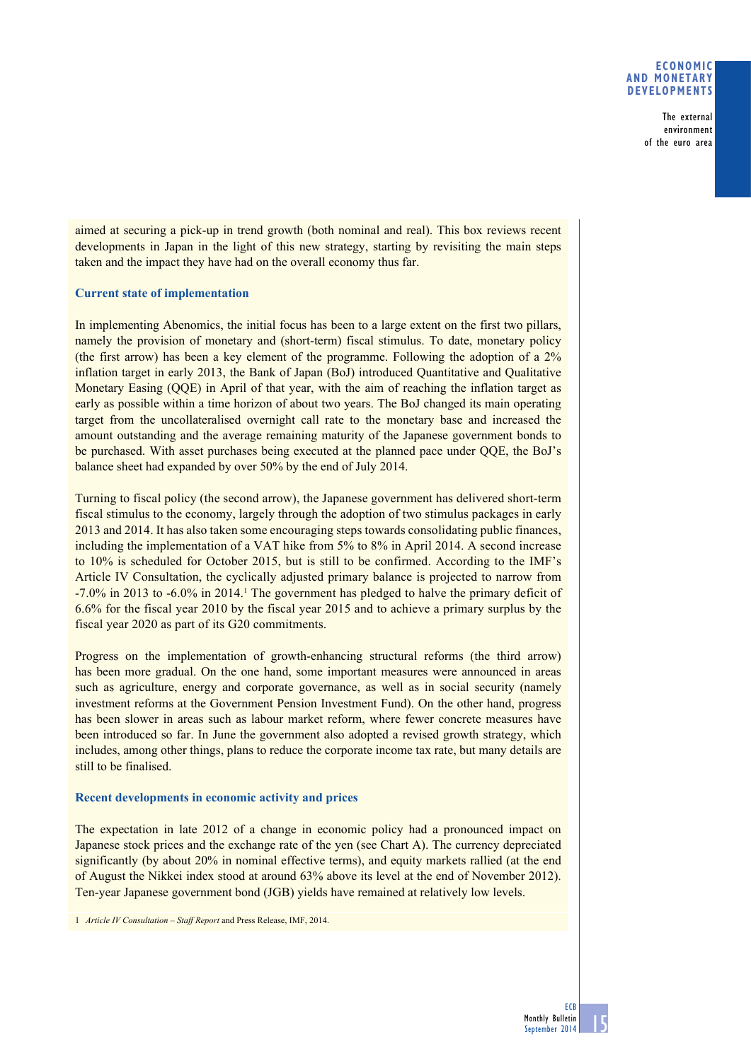## **Economic and monetary developments**

The external environment of the euro area

aimed at securing a pick-up in trend growth (both nominal and real). This box reviews recent developments in Japan in the light of this new strategy, starting by revisiting the main steps taken and the impact they have had on the overall economy thus far.

# **Current state of implementation**

In implementing Abenomics, the initial focus has been to a large extent on the first two pillars, namely the provision of monetary and (short-term) fiscal stimulus. To date, monetary policy (the first arrow) has been a key element of the programme. Following the adoption of a 2% inflation target in early 2013, the Bank of Japan (BoJ) introduced Quantitative and Qualitative Monetary Easing (QQE) in April of that year, with the aim of reaching the inflation target as early as possible within a time horizon of about two years. The BoJ changed its main operating target from the uncollateralised overnight call rate to the monetary base and increased the amount outstanding and the average remaining maturity of the Japanese government bonds to be purchased. With asset purchases being executed at the planned pace under QQE, the BoJ's balance sheet had expanded by over 50% by the end of July 2014.

Turning to fiscal policy (the second arrow), the Japanese government has delivered short-term fiscal stimulus to the economy, largely through the adoption of two stimulus packages in early 2013 and 2014. It has also taken some encouraging steps towards consolidating public finances, including the implementation of a VAT hike from 5% to 8% in April 2014. A second increase to 10% is scheduled for October 2015, but is still to be confirmed. According to the IMF's Article IV Consultation, the cyclically adjusted primary balance is projected to narrow from  $-7.0\%$  in 2013 to  $-6.0\%$  in 2014.<sup>1</sup> The government has pledged to halve the primary deficit of 6.6% for the fiscal year 2010 by the fiscal year 2015 and to achieve a primary surplus by the fiscal year 2020 as part of its G20 commitments.

Progress on the implementation of growth-enhancing structural reforms (the third arrow) has been more gradual. On the one hand, some important measures were announced in areas such as agriculture, energy and corporate governance, as well as in social security (namely investment reforms at the Government Pension Investment Fund). On the other hand, progress has been slower in areas such as labour market reform, where fewer concrete measures have been introduced so far. In June the government also adopted a revised growth strategy, which includes, among other things, plans to reduce the corporate income tax rate, but many details are still to be finalised.

# **Recent developments in economic activity and prices**

The expectation in late 2012 of a change in economic policy had a pronounced impact on Japanese stock prices and the exchange rate of the yen (see Chart A). The currency depreciated significantly (by about 20% in nominal effective terms), and equity markets rallied (at the end of August the Nikkei index stood at around 63% above its level at the end of November 2012). Ten-year Japanese government bond (JGB) yields have remained at relatively low levels.

1 *Article IV Consultation – Staff Report* and Press Release, IMF, 2014.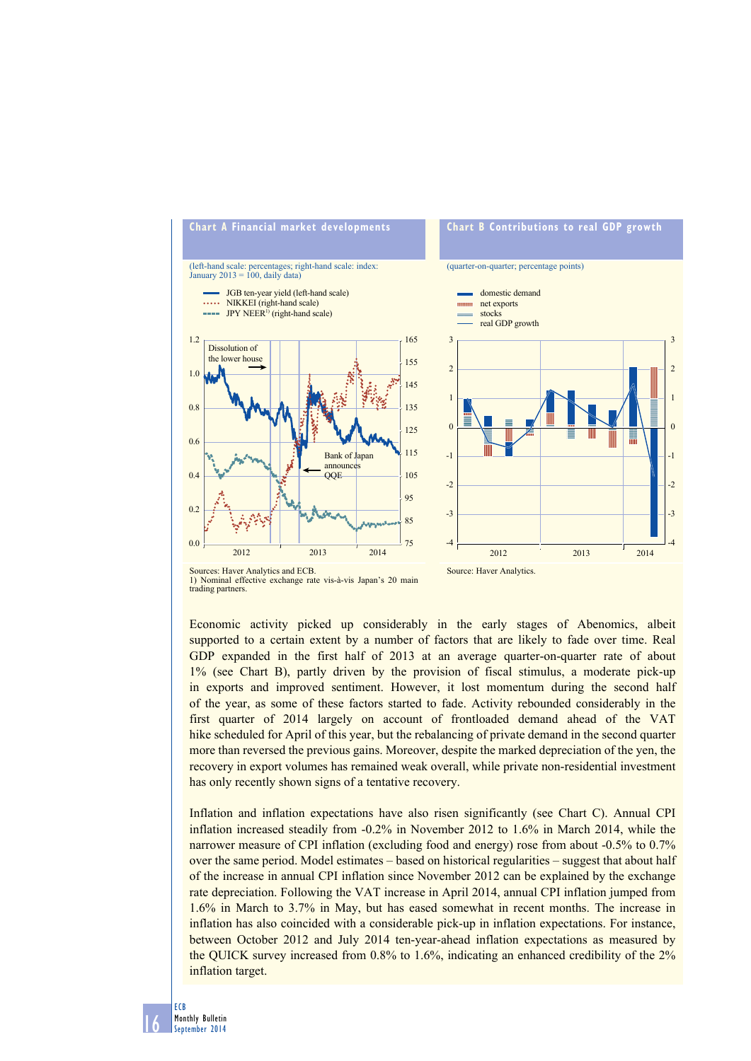

1) Nominal effective exchange rate vis-à-vis Japan's 20 main trading partners.

Economic activity picked up considerably in the early stages of Abenomics, albeit supported to a certain extent by a number of factors that are likely to fade over time. Real GDP expanded in the first half of 2013 at an average quarter-on-quarter rate of about 1% (see Chart B), partly driven by the provision of fiscal stimulus, a moderate pick-up in exports and improved sentiment. However, it lost momentum during the second half of the year, as some of these factors started to fade. Activity rebounded considerably in the first quarter of 2014 largely on account of frontloaded demand ahead of the VAT hike scheduled for April of this year, but the rebalancing of private demand in the second quarter more than reversed the previous gains. Moreover, despite the marked depreciation of the yen, the recovery in export volumes has remained weak overall, while private non-residential investment has only recently shown signs of a tentative recovery.

Inflation and inflation expectations have also risen significantly (see Chart C). Annual CPI inflation increased steadily from -0.2% in November 2012 to 1.6% in March 2014, while the narrower measure of CPI inflation (excluding food and energy) rose from about -0.5% to 0.7% over the same period. Model estimates – based on historical regularities – suggest that about half of the increase in annual CPI inflation since November 2012 can be explained by the exchange rate depreciation. Following the VAT increase in April 2014, annual CPI inflation jumped from 1.6% in March to 3.7% in May, but has eased somewhat in recent months. The increase in inflation has also coincided with a considerable pick-up in inflation expectations. For instance, between October 2012 and July 2014 ten-year-ahead inflation expectations as measured by the QUICK survey increased from 0.8% to 1.6%, indicating an enhanced credibility of the 2% inflation target.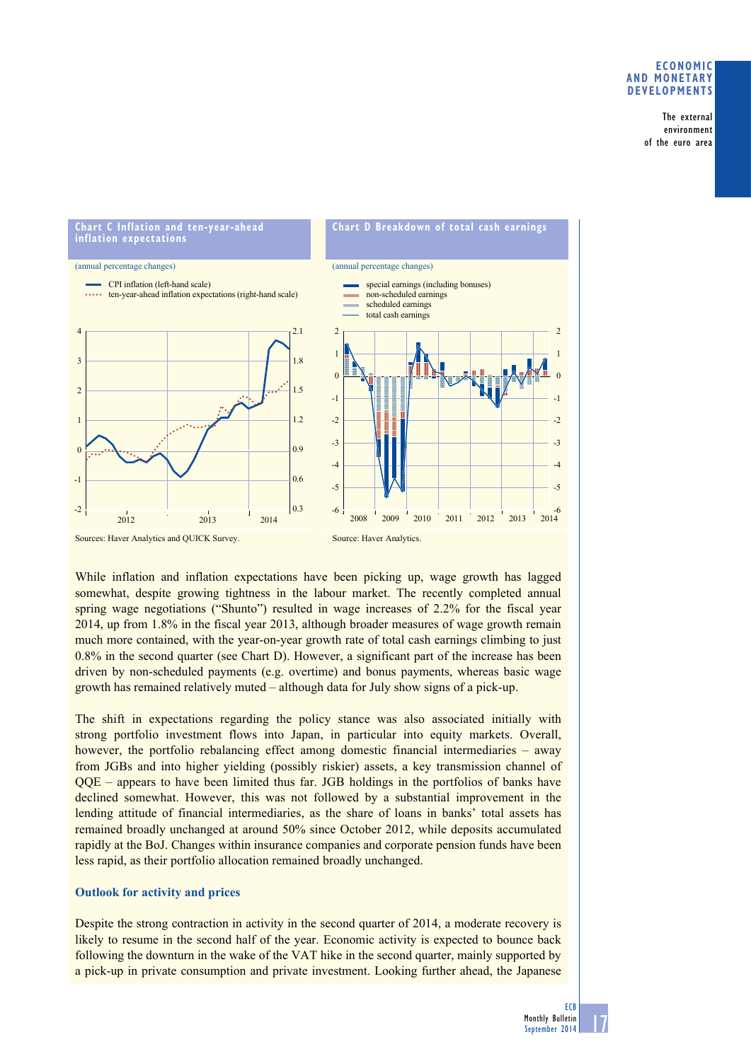## **Economic and monetary developments**

The external environment of the euro area



While inflation and inflation expectations have been picking up, wage growth has lagged somewhat, despite growing tightness in the labour market. The recently completed annual spring wage negotiations ("Shunto") resulted in wage increases of 2.2% for the fiscal year 2014, up from 1.8% in the fiscal year 2013, although broader measures of wage growth remain much more contained, with the year-on-year growth rate of total cash earnings climbing to just  $0.8\%$  in the second quarter (see Chart D). However, a significant part of the increase has been driven by non-scheduled payments (e.g. overtime) and bonus payments, whereas basic wage growth has remained relatively muted – although data for July show signs of a pick-up.

The shift in expectations regarding the policy stance was also associated initially with strong portfolio investment flows into Japan, in particular into equity markets. Overall, however, the portfolio rebalancing effect among domestic financial intermediaries – away from JGBs and into higher yielding (possibly riskier) assets, a key transmission channel of QQE – appears to have been limited thus far. JGB holdings in the portfolios of banks have declined somewhat. However, this was not followed by a substantial improvement in the lending attitude of financial intermediaries, as the share of loans in banks' total assets has remained broadly unchanged at around 50% since October 2012, while deposits accumulated rapidly at the BoJ. Changes within insurance companies and corporate pension funds have been less rapid, as their portfolio allocation remained broadly unchanged.

### **Outlook for activity and prices**

Despite the strong contraction in activity in the second quarter of 2014, a moderate recovery is likely to resume in the second half of the year. Economic activity is expected to bounce back following the downturn in the wake of the VAT hike in the second quarter, mainly supported by a pick-up in private consumption and private investment. Looking further ahead, the Japanese